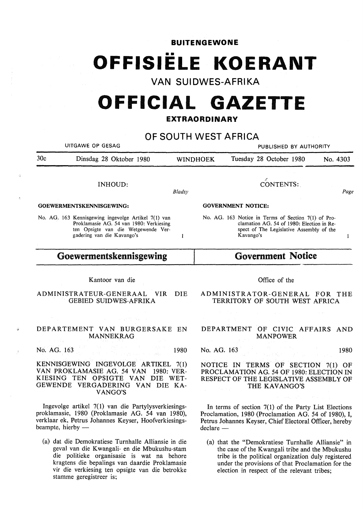**BUITENGEWONE** 

# •• **OFFISIELE KOERANT**

**VAN SUIDWES-AFRIKA** 

## **OFFICIAL GAZETTE**

#### **EXTRAORDINARY**

**OF SOUTH WEST AFRICA**  UITGAWE OP GESAG PUBLISHED BY AUTHORITY 30c Dinsdag 28 Oktober 1980 WINI)HOEK Tuesday 28 October 1980 No. 4303 CONTENTS: INHOUD: *Bladsy Page*  **GOEWERMENTSKENNISGEWING: GOVERNMENT NOTICE:**  No. AG. 163 Kennisgewing ingevolge Artikel 7(1) van No. AG. 163 Notice in Terms of Section 7(1) of Pro-Proklamasie AG. 54 van 1980: Verkiesing clamation AG. 54 of 1980: Election in Reten Opsigte van die Wetgewende Verspect of The Legislative Assembly of the gadering van die Kavango's Kavango's  $\mathbf{1}$  $\mathbf{I}$ **Goewermentskennisgewing Government Notice**  Kantoor van die Office of the ADMINISTRATEUR-GENERAAL VIR DIE ADMINISTRATOR-GENERAL FOR THE GEBIED SUIDWES-AFRIKA TERRITORY OF SOUTH WEST AFRICA DEPARTEMENT VAN BURGERSAKE EN DEPARTMENT OF CIVIC AFFAIRS AND **MANNEKRAG** MANPOWER No. AG. 163 1980 No. AG. 163 1980 **KENNISGEWING INGEVOLGE** ARTIKEL 7(1) NOTICE IN TERMS OF SECTION 7(1) OF **VAN PROKLAMASIE AG.** 54 VAN 1980: VER-PROCLAMATION AG. 54 OF 1980: ELECTION IN **KIESING** TEN **OPSIGTE VAN** DIE WET-RESPECT OF THE LEGISLATIVE ASSEMBLY OF **GEWENDE VERGADERING VAN** DIE KA-THE KAVANGO'S **V ANGO'S**  Ingevolge artikel 7( 1) van die Partylysverkiesings-In terms of section 7(1) of the Party List Elections proklamasie, 1980 (Proklamasie AG. 54 van 1980), Proclamation, 1980 (Proclamation AG. 54 of 1980), I, verklaar ek, Petrus Johannes Keyser, Hoofverkiesings-Petrus Johannes Keyser, Chief Electoral Officer, hereby beampte, hierby  $dec$ lare  $-$ (a) dat die Demokratiese Turnhalle Alliansie in die (a) that the "Demokratiese Turnhalle Alliansie" in geval van die Kwangali- en die Mbukushu-stam the case of the Kwangali tribe and the Mbukushu die politieke organisasie is wat na behore tribe is the political organization duly registered

under the provisions of that Proclamation for the

election in respect of the relevant tribes;

kragtens die bepalings van daardie Proklamasie vir die verkiesing ten opsigte van die betrokke

stamme geregistreer is;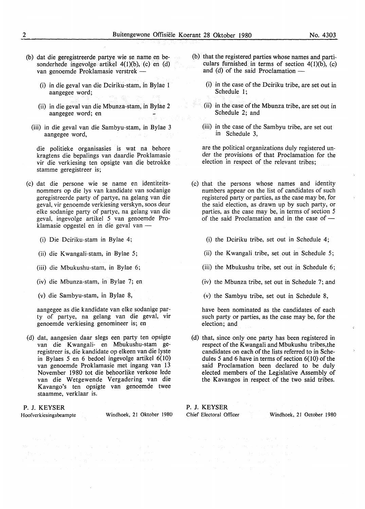- (b) dat die geregistreerde partye wie se name en besonderhede ingevolge artikel 4(1)(b), (c) en (d) van genoemde Proklamasie verstrek -
	- (i) in die geval van die Dciriku-stam, in Bylae 1 aangegee word;
	- (ii) in die geval van die Mbunza-stam, in Bylae 2 aangegee word; en
	- (iii) in die geval van die Sambyu-stam, in Bylae 3 aangegee word,

die politieke organisasies is wat na behore kragtens die bepalings van daardie Proklamasie vir die verkiesing ten opsigte van die betrokke stamme geregistreer is;

- (c) dat die persone wie se name en identiteitsnommers op die lys van kandidate van sodanige geregistreerde party of partye, na gelang van die geval, vir genoemde verkiesing verskyn, soos deur elke sodanige party of partye, na gelang van die geval, ingevolge artikel 5 van genoemde Proklamasie opgestel en in die geval van -
	- (i) Die Dciriku-stam in Bylae 4;
	- (ii) die Kwangali-stam, in Bylae 5;
	- (iii) die Mbukushu-stam, in Bylae 6;
	- (iv) die Mbunza-stam, in Bylae 7; en
	- (v) die Sambyu-stam, in Bylae 8,

aangegee as die kandidate van elke sodanige party of partye, na gelang van die geval, vir genoemde verkiesing genomineer is; en

(d) dat, aangesien daar slegs een party ten opsigte van die Kwangali- en Mbukushu-stam geregistreer is, die kandidate op elkeen van die lyste in Bylaes 5 en 6 bedoel ingevolge artikel 6(10) van genoemde Proklamasie met ingang van 13 November 1980 tot die behoorlike verkose lede van die Wetgewende Vergadering van die Kavango's ten opsigte van genoemde twee staamme, verklaar is.

#### **P. J. KEYSER**

Hoofverkiesingsbeampte Windhoek, 21 Oktober 1980

- (b) that the registered parties whose names and particulars furnished in terms of section 4(1)(b), (c) and (d) of the said Proclamation  $-$ 
	- (i) in the case of the Dciriku tribe, are set out in Schedule 1;
	- (ii) in the case of the Mbunza tribe, are set out in Schedule 2; and
	- (iii) in the case of the Sambyu tribe, are set out in Schedule 3,

are the political organizations duly registered under the provisions of that Proclamation for the election in respect of the relevant tribes;

- (c) that the persons whose names and identity numbers appear on the list of candidates of such registered party or parties, as the case may be, for the said election, as drawn up by such party, or parties, as the case may be, in terms of section 5 of the said Proclamation and in the case of  $-$ 
	- (i) the Dciriku tribe, set out in Schedule 4;
	- (ii) the Kwangali tribe, set out in Schedule 5;
	- (iii) the Mbukushu tribe, set out in Schedule 6;
	- (iv) the Mbunza tribe, set out in Schedule 7; and
	- (v) the Sambyu tribe, set out in Schedule 8,

have been nominated as the candidates of each such party or parties, as the case may be, for the election; and

(d) that, since only one party has been registered in respect of the Kwangali and Mbukushu tribes, the candidates on each of the lists referred to in Schedules 5 and 6 have in terms of section 6(10) of the said Proclamation been declared to be duly elected members of the Legislative Assembly of the Kavangos in respect of the two said tribes.

**P. J. KEYSER** 

Chief Electoral Officer Windhoek, 21 October 1980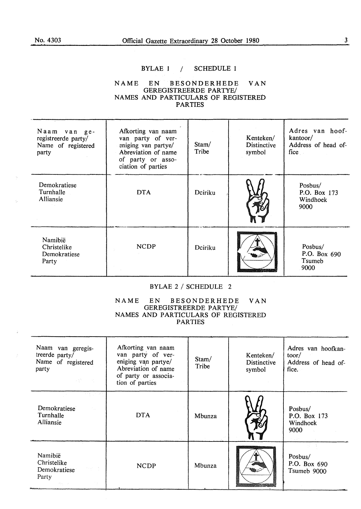#### BYLAE 1 / SCHEDULE 1

#### **NAME EN BESONDERHEDE VAN GEREGISTREERDE PARTYE/ NAMES AND PARTICULARS** OF **REGISTERED PARTIES**

| Naam<br>van ge-<br>registreerde party/<br>Name of registered<br>party | Afkorting van naam<br>van party of ver-<br>eniging van partye/<br>Abreviation of name<br>of party or asso-<br>ciation of parties | Stam/<br>Tribe | Kenteken/<br><b>Distinctive</b><br>symbol | Adres van hoof-<br>kantoor/<br>Address of head of-<br>fice |
|-----------------------------------------------------------------------|----------------------------------------------------------------------------------------------------------------------------------|----------------|-------------------------------------------|------------------------------------------------------------|
| Demokratiese<br>Turnhalle<br><b>Alliansie</b>                         | <b>DTA</b>                                                                                                                       | Dciriku        |                                           | Posbus/<br>P.O. Box 173<br>Windhoek<br>9000                |
| Namibië<br>Christelike<br>Demokratiese<br>Party                       | <b>NCDP</b>                                                                                                                      | Dciriku        |                                           | Posbus/<br>P.O. Box 690<br>Tsumeb<br>9000                  |

#### BYLAE 2 / SCHEDULE 2

#### NAME EN BESONDERHEDE VAN GEREGISTREERDE PARTYE/ NAMES AND PARTICULARS OF REGISTERED PARTIES

| Naam van geregis-<br>treerde party/<br>Name of registered<br>party<br>医静脉 医牙                                                               | Afkorting van naam<br>van party of ver-<br>eniging van partye/<br>Abreviation of name<br>of party or associa-<br>tion of parties | Stam/<br>Tribe | Kenteken/<br><b>Distinctive</b><br>symbol | Adres van hoofkan-<br>toor/<br>Address of head of-<br>fice. |
|--------------------------------------------------------------------------------------------------------------------------------------------|----------------------------------------------------------------------------------------------------------------------------------|----------------|-------------------------------------------|-------------------------------------------------------------|
| <b>Demokratiese</b><br>Turnhalle<br>Alliansie                                                                                              | <b>DTA</b>                                                                                                                       | Mbunza         |                                           | Posbus/<br>P.O. Box 173<br>Windhoek<br>9000<br>大型空间         |
| Namibië<br>Christelike<br>Demokratiese<br>11 March 12<br>Party<br>$\mathcal{P}^{\text{c}}_{\text{c}}(\mathbf{x}) = \mathcal{P}^{\text{c}}$ | <b>NCDP</b>                                                                                                                      | Mbunza         |                                           | Posbus/<br>P.O. Box 690<br>Tsumeb 9000                      |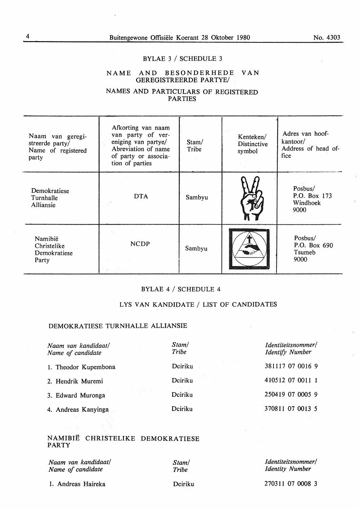#### No. 4303

#### BYLAE 3 / SCHEDULE 3

#### NAME AND BESONDERHEDE VAN GEREGISTREERDE PARTYE/

#### NAMES AND PARTICULARS OF REGISTERED PARTIES

| Naam van geregi-<br>streerde party/<br>Name of registered<br>party | Afkorting van naam<br>van party of ver-<br>eniging van partye/<br>Abreviation of name<br>of party or associa-<br>tion of parties | Stam/<br>Tribe | Kenteken/<br><b>Distinctive</b><br>symbol | Adres van hoof-<br>kantoor/<br>Address of head of-<br>fice |
|--------------------------------------------------------------------|----------------------------------------------------------------------------------------------------------------------------------|----------------|-------------------------------------------|------------------------------------------------------------|
| Demokratiese<br>Turnhalle<br>Alliansie                             | <b>DTA</b>                                                                                                                       | Sambyu         |                                           | Posbus/<br>P.O. Box 173<br>Windhoek<br>9000                |
| Namibië<br>Christelike<br>Demokratiese<br>Party                    | <b>NCDP</b>                                                                                                                      | Sambyu         |                                           | Posbus/<br>P.O. Box 690<br>Tsumeb<br>9000                  |

#### BYLAE 4 / SCHEDULE 4

#### LYS VAN KANDIDATE / LIST OF CANDIDATES

#### DEMOKRATIESE TURNHALLE ALLIANSIE

| Naam van kandidaat/<br>Name of candidate | Stam/<br>Tribe | Identiteitsnommer/<br><b>Identify Number</b> |
|------------------------------------------|----------------|----------------------------------------------|
| 1. Theodor Kupembona                     | Dciriku        | 381117 07 0016 9                             |
| 2. Hendrik Muremi                        | Dciriku        | 410512 07 0011 1                             |
| 3. Edward Muronga                        | Dciriku        | 250419 07 0005 9                             |
| 4. Andreas Kanyinga                      | Dciriku        | 370811 07 0013 5                             |

#### NAMIBIE CHRISTELIKE DEMOKRATIESE PARTY

|  | Naam van kandidaat/ |
|--|---------------------|
|  | Name of candidate   |

*Stam/ Tribe* 

#### *I dentiteitsnommer/ Identity Number*

1. Andreas Haireka

Dciriku

270311 07 0008 3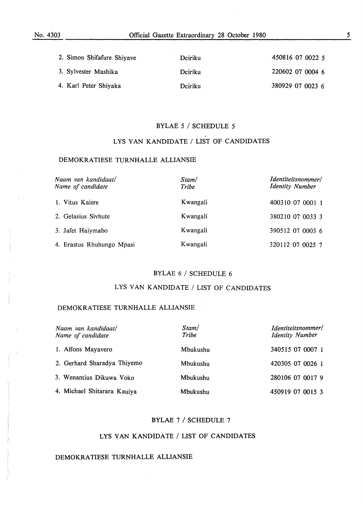| 2. Simon Shifafure Shiyave | Dciriku | 450816 07 0022 5 |
|----------------------------|---------|------------------|
| 3. Sylvester Mashika       | Deiriku | 220602 07 0004 6 |
| 4. Karl Peter Shiyaka      | Dciriku | 380929 07 0023 6 |

#### BYLAE 5 / SCHEDULE 5

.

#### LYS VAN KANDIDATE / LIST OF CANDIDATES

#### DEMOKRATIESE TURNHALLE ALLIANSIE

| Naam van kandidaat/<br>Name of candidate | Stam/<br>Tribe | Identiteitsnommer/<br><b>Identity Number</b> |
|------------------------------------------|----------------|----------------------------------------------|
| 1. Vitus Kaisre                          | Kwangali       | 400310 07 0001 1                             |
| 2. Gelasius Sivhute                      | Kwangali       | 380210 07 0033 3                             |
| 3. Jafet Haiymabo                        | Kwangali       | 390512 07 0003 6                             |
| 4. Erastus Rhuhungo Mpasi                | Kwangali       | 320112 07 0025 7                             |

#### BYLAE 6 / SCHEDULE 6

#### LYS VAN KANDIDATE / LIST OF CANDIDATES

#### DEMOKRATIESE TURNHALLE ALLIANSIE

| Naam van kandidaat/<br>Name of candidate | Stam/<br>Tribe | Identiteitsnommer/<br><b>Identity Number</b> |
|------------------------------------------|----------------|----------------------------------------------|
| 1. Alfons Mayavero                       | Mbukushu       | 340515 07 0007 1                             |
| 2. Gerhard Sharadya Thiyemo              | Mbukushu       | 420305 07 0026 1                             |
| 3. Wenantius Dikuwa Voko                 | Mbukushu       | 280106 07 0017 9                             |
| 4. Michael Shitarara Kauiya              | Mbukushu       | 450919 07 0015 3                             |

#### BYLAE 7 / SCHEDULE 7

#### LYS YAN KANDIDATE / LIST OF CANDIDATES

#### DEMOKRA TIESE TURNHALLE ALLIANSIE

*5*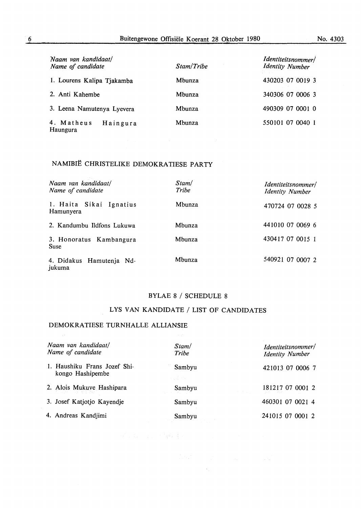| Naam van kandidaat/<br>Name of candidate | Stam/Tribe | Identiteitsnommer/<br><b>Identity Number</b> |
|------------------------------------------|------------|----------------------------------------------|
| 1. Lourens Kalipa Tjakamba               | Mbunza     | 430203 07 0019 3                             |
| 2. Anti Kahembe                          | Mbunza     | 340306 07 0006 3                             |
| 3. Leena Namutenya Lyevera               | Mbunza     | 490309 07 0001 0                             |
| 4. Matheus<br>Haingura<br>Haungura       | Mbunza     | 550101 07 0040 1                             |

## NAMIBIE CHRISTELIKE DEMOKRATIESE PARTY

| Naam van kandidaat/<br>Name of candidate | Stam/<br>Tribe | Identiteitsnommer/<br><b>Identity Number</b> |
|------------------------------------------|----------------|----------------------------------------------|
| 1. Haita Sikai Ignatius<br>Hamunyera     | Mbunza         | 470724 07 0028 5                             |
| 2. Kandumbu Ildfons Lukuwa               | Mbunza         | 441010 07 0069 6                             |
| 3. Honoratus Kambangura<br><b>Suse</b>   | Mbunza         | 430417 07 0015 1                             |
| 4. Didakus Hamutenja Nd-<br>jukuma       | Mbunza         | 540921 07 0007 2                             |

#### BYLAE 8 / SCHEDULE 8

#### LYS VAN KANDIDATE / LIST OF CANDIDATES

#### DEMOKRATIESE TURNHALLE ALLIANSIE

 $\frac{1}{2}$  and

| Naam van kandidaat/<br>Name of candidate         | Stam/<br>Tribe   | Identiteitsnommer/<br><b>Identity Number</b> |
|--------------------------------------------------|------------------|----------------------------------------------|
| 1. Haushiku Frans Jozef Shi-<br>kongo Hashipembe | Sambyu<br>医上皮 网络 | 421013 07 0006 7                             |
| 2. Alois Mukuve Hashipara<br>이 사람들은 어떻게 되었다.     | Sambyu           | 181217 07 0001 2                             |
| 3. Josef Katjotjo Kayendje                       | Sambyu           | 460301 07 0021 4                             |
| 4. Andreas Kandjimi                              | Sambyu           | 241015 07 0001 2                             |

 $\hat{\mathbf{y}}_i = \mathbf{x}_{i_1} \cdots \mathbf{x}_{i_n}$